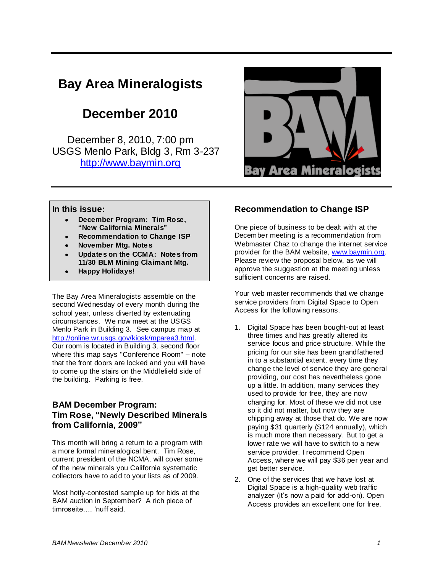# **Bay Area Mineralogists**

# **December 2010**

December 8, 2010, 7:00 pm USGS Menlo Park, Bldg 3, Rm 3-237 [http://www.baymin.org](http://www.baymin.org/)



#### **In this issue:**

- **December Program: Tim Rose, "New California Minerals"**
- **Recommendation to Change ISP**
- **November Mtg. Notes**
- **Updates on the CCMA: Notes from 11/30 BLM Mining Claimant Mtg.**
- **Happy Holidays!**

The Bay Area Mineralogists assemble on the second Wednesday of every month during the school year, unless diverted by extenuating circumstances. We now meet at the USGS Menlo Park in Building 3. See campus map at [http://online.wr.usgs.gov/kiosk/mparea3.html.](http://online.wr.usgs.gov/kiosk/mparea3.html) Our room is located in Building 3, second floor where this map says "Conference Room" – note that the front doors are locked and you will have to come up the stairs on the Middlefield side of the building. Parking is free.

### **BAM December Program: Tim Rose, "Newly Described Minerals from California, 2009"**

This month will bring a return to a program with a more formal mineralogical bent. Tim Rose, current president of the NCMA, will cover some of the new minerals you California systematic collectors have to add to your lists as of 2009.

Most hotly-contested sample up for bids at the BAM auction in September? A rich piece of timroseite…. "nuff said.

## **Recommendation to Change ISP**

One piece of business to be dealt with at the December meeting is a recommendation from Webmaster Chaz to change the internet service provider for the BAM website, [www.baymin.org.](http://www.baymin.org/) Please review the proposal below, as we will approve the suggestion at the meeting unless sufficient concerns are raised.

Your web master recommends that we change service providers from Digital Space to Open Access for the following reasons.

- 1. Digital Space has been bought-out at least three times and has greatly altered its service focus and price structure. While the pricing for our site has been grandfathered in to a substantial extent, every time they change the level of service they are general providing, our cost has nevertheless gone up a little. In addition, many services they used to provide for free, they are now charging for. Most of these we did not use so it did not matter, but now they are chipping away at those that do. We are now paying \$31 quarterly (\$124 annually), which is much more than necessary. But to get a lower rate we will have to switch to a new service provider. I recommend Open Access, where we will pay \$36 per year and get better service.
- 2. One of the services that we have lost at Digital Space is a high-quality web traffic analyzer (it's now a paid for add-on). Open Access provides an excellent one for free.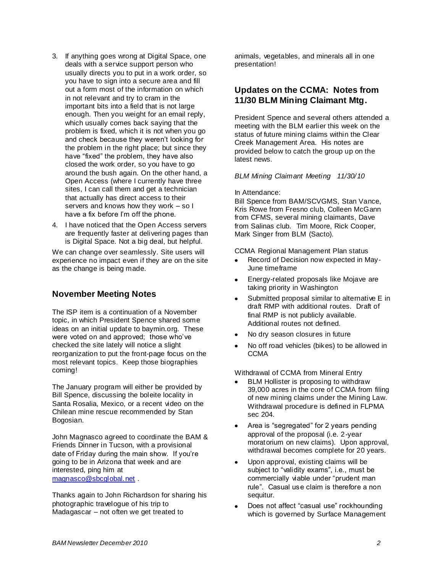- 3. If anything goes wrong at Digital Space, one deals with a service support person who usually directs you to put in a work order, so you have to sign into a secure area and fill out a form most of the information on which in not relevant and try to cram in the important bits into a field that is not large enough. Then you weight for an email reply, which usually comes back saying that the problem is fixed, which it is not when you go and check because they weren"t looking for the problem in the right place; but since they have "fixed" the problem, they have also closed the work order, so you have to go around the bush again. On the other hand, a Open Access (where I currently have three sites, I can call them and get a technician that actually has direct access to their servers and knows how they work – so I have a fix before I'm off the phone.
- 4. I have noticed that the Open Access servers are frequently faster at delivering pages than is Digital Space. Not a big deal, but helpful.

We can change over seamlessly. Site users will experience no impact even if they are on the site as the change is being made.

## **November Meeting Notes**

The ISP item is a continuation of a November topic, in which President Spence shared some ideas on an initial update to baymin.org. These were voted on and approved; those who"ve checked the site lately will notice a slight reorganization to put the front-page focus on the most relevant topics. Keep those biographies coming!

The January program will either be provided by Bill Spence, discussing the boleite locality in Santa Rosalia, Mexico, or a recent video on the Chilean mine rescue recommended by Stan Bogosian.

John Magnasco agreed to coordinate the BAM & Friends Dinner in Tucson, with a provisional date of Friday during the main show. If you"re going to be in Arizona that week and are interested, ping him at [magnasco@sbcglobal.net](mailto:magnasco@sbcglobal.net) .

Thanks again to John Richardson for sharing his photographic travelogue of his trip to Madagascar – not often we get treated to

animals, vegetables, and minerals all in one presentation!

## **Updates on the CCMA: Notes from 11/30 BLM Mining Claimant Mtg.**

President Spence and several others attended a meeting with the BLM earlier this week on the status of future mining claims within the Clear Creek Management Area. His notes are provided below to catch the group up on the latest news.

#### *BLM Mining Claimant Meeting 11/30/10*

#### In Attendance:

Bill Spence from BAM/SCVGMS, Stan Vance, Kris Rowe from Fresno club, Colleen McGann from CFMS, several mining claimants, Dave from Salinas club. Tim Moore, Rick Cooper, Mark Singer from BLM (Sacto).

CCMA Regional Management Plan status

- Record of Decision now expected in May-June timeframe
- Energy-related proposals like Mojave are  $\bullet$ taking priority in Washington
- Submitted proposal similar to alternative E in draft RMP with additional routes. Draft of final RMP is not publicly available. Additional routes not defined.
- No dry season closures in future
- No off road vehicles (bikes) to be allowed in **CCMA**

Withdrawal of CCMA from Mineral Entry

- BLM Hollister is proposing to withdraw 39,000 acres in the core of CCMA from filing of new mining claims under the Mining Law. Withdrawal procedure is defined in FLPMA sec 204.
- Area is "segregated" for 2 years pending  $\bullet$ approval of the proposal (i.e. 2-year moratorium on new claims). Upon approval, withdrawal becomes complete for 20 years.
- Upon approval, existing claims will be  $\bullet$ subject to "validity exams", i.e., must be commercially viable under "prudent man rule". Casual use claim is therefore a non sequitur.
- Does not affect "casual use" rockhounding which is governed by Surface Management